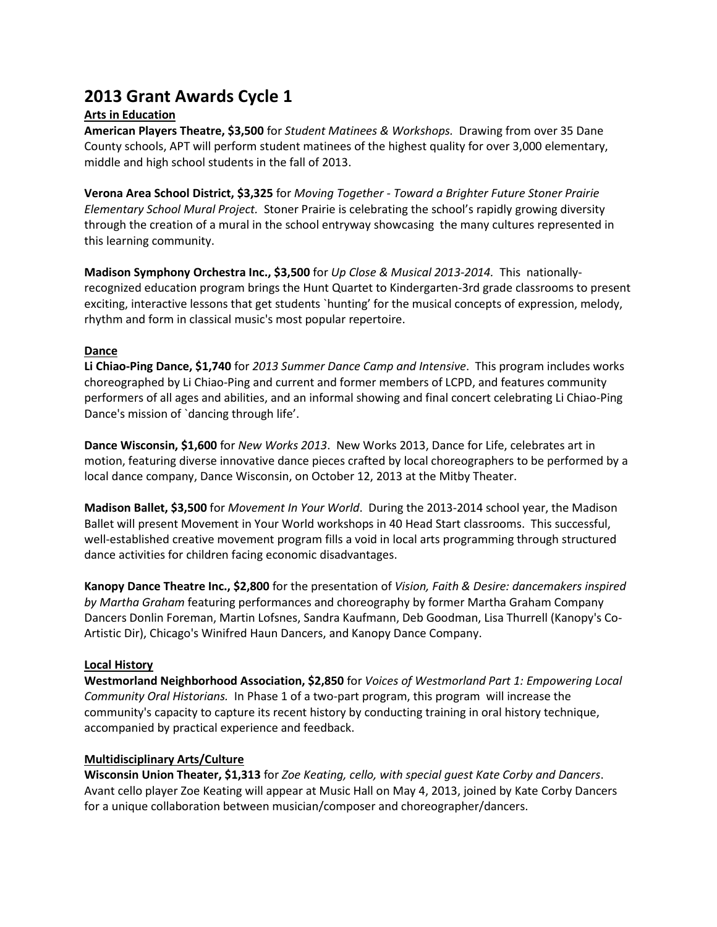# **2013 Grant Awards Cycle 1**

## **Arts in Education**

**American Players Theatre, \$3,500** for *Student Matinees & Workshops.* Drawing from over 35 Dane County schools, APT will perform student matinees of the highest quality for over 3,000 elementary, middle and high school students in the fall of 2013.

**Verona Area School District, \$3,325** for *Moving Together - Toward a Brighter Future Stoner Prairie Elementary School Mural Project.* Stoner Prairie is celebrating the school's rapidly growing diversity through the creation of a mural in the school entryway showcasing the many cultures represented in this learning community.

**Madison Symphony Orchestra Inc., \$3,500** for *Up Close & Musical 2013-2014.* This nationallyrecognized education program brings the Hunt Quartet to Kindergarten-3rd grade classrooms to present exciting, interactive lessons that get students `hunting' for the musical concepts of expression, melody, rhythm and form in classical music's most popular repertoire.

## **Dance**

**Li Chiao-Ping Dance, \$1,740** for *2013 Summer Dance Camp and Intensive*. This program includes works choreographed by Li Chiao-Ping and current and former members of LCPD, and features community performers of all ages and abilities, and an informal showing and final concert celebrating Li Chiao-Ping Dance's mission of `dancing through life'.

**Dance Wisconsin, \$1,600** for *New Works 2013*. New Works 2013, Dance for Life, celebrates art in motion, featuring diverse innovative dance pieces crafted by local choreographers to be performed by a local dance company, Dance Wisconsin, on October 12, 2013 at the Mitby Theater.

**Madison Ballet, \$3,500** for *Movement In Your World*. During the 2013-2014 school year, the Madison Ballet will present Movement in Your World workshops in 40 Head Start classrooms. This successful, well-established creative movement program fills a void in local arts programming through structured dance activities for children facing economic disadvantages.

**Kanopy Dance Theatre Inc., \$2,800** for the presentation of *Vision, Faith & Desire: dancemakers inspired by Martha Graham* featuring performances and choreography by former Martha Graham Company Dancers Donlin Foreman, Martin Lofsnes, Sandra Kaufmann, Deb Goodman, Lisa Thurrell (Kanopy's Co-Artistic Dir), Chicago's Winifred Haun Dancers, and Kanopy Dance Company.

## **Local History**

**Westmorland Neighborhood Association, \$2,850** for *Voices of Westmorland Part 1: Empowering Local Community Oral Historians.* In Phase 1 of a two-part program, this program will increase the community's capacity to capture its recent history by conducting training in oral history technique, accompanied by practical experience and feedback.

## **Multidisciplinary Arts/Culture**

**Wisconsin Union Theater, \$1,313** for *Zoe Keating, cello, with special guest Kate Corby and Dancers*. Avant cello player Zoe Keating will appear at Music Hall on May 4, 2013, joined by Kate Corby Dancers for a unique collaboration between musician/composer and choreographer/dancers.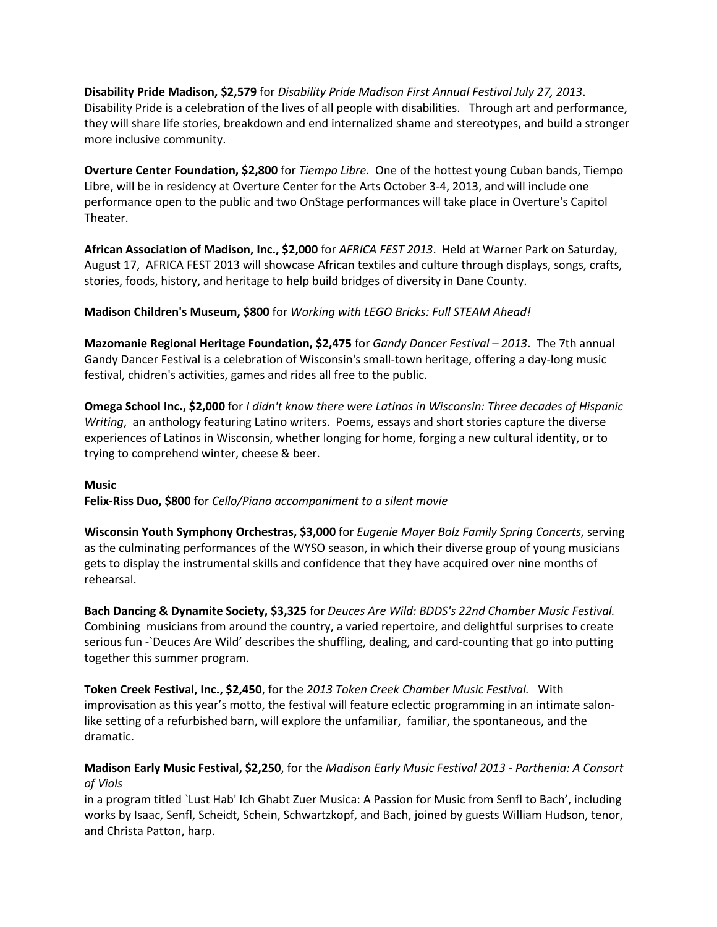**Disability Pride Madison, \$2,579** for *Disability Pride Madison First Annual Festival July 27, 2013*. Disability Pride is a celebration of the lives of all people with disabilities. Through art and performance, they will share life stories, breakdown and end internalized shame and stereotypes, and build a stronger more inclusive community.

**Overture Center Foundation, \$2,800** for *Tiempo Libre*. One of the hottest young Cuban bands, Tiempo Libre, will be in residency at Overture Center for the Arts October 3-4, 2013, and will include one performance open to the public and two OnStage performances will take place in Overture's Capitol Theater.

**African Association of Madison, Inc., \$2,000** for *AFRICA FEST 2013*. Held at Warner Park on Saturday, August 17, AFRICA FEST 2013 will showcase African textiles and culture through displays, songs, crafts, stories, foods, history, and heritage to help build bridges of diversity in Dane County.

**Madison Children's Museum, \$800** for *Working with LEGO Bricks: Full STEAM Ahead!*

**Mazomanie Regional Heritage Foundation, \$2,475** for *Gandy Dancer Festival – 2013*. The 7th annual Gandy Dancer Festival is a celebration of Wisconsin's small-town heritage, offering a day-long music festival, chidren's activities, games and rides all free to the public.

**Omega School Inc., \$2,000** for *I didn't know there were Latinos in Wisconsin: Three decades of Hispanic Writing*, an anthology featuring Latino writers. Poems, essays and short stories capture the diverse experiences of Latinos in Wisconsin, whether longing for home, forging a new cultural identity, or to trying to comprehend winter, cheese & beer.

## **Music**

**Felix-Riss Duo, \$800** for *Cello/Piano accompaniment to a silent movie*

**Wisconsin Youth Symphony Orchestras, \$3,000** for *Eugenie Mayer Bolz Family Spring Concerts*, serving as the culminating performances of the WYSO season, in which their diverse group of young musicians gets to display the instrumental skills and confidence that they have acquired over nine months of rehearsal.

**Bach Dancing & Dynamite Society, \$3,325** for *Deuces Are Wild: BDDS's 22nd Chamber Music Festival.*  Combining musicians from around the country, a varied repertoire, and delightful surprises to create serious fun -`Deuces Are Wild' describes the shuffling, dealing, and card-counting that go into putting together this summer program.

**Token Creek Festival, Inc., \$2,450**, for the *2013 Token Creek Chamber Music Festival.* With improvisation as this year's motto, the festival will feature eclectic programming in an intimate salonlike setting of a refurbished barn, will explore the unfamiliar, familiar, the spontaneous, and the dramatic.

**Madison Early Music Festival, \$2,250**, for the *Madison Early Music Festival 2013 - Parthenia: A Consort of Viols*

in a program titled `Lust Hab' Ich Ghabt Zuer Musica: A Passion for Music from Senfl to Bach', including works by Isaac, Senfl, Scheidt, Schein, Schwartzkopf, and Bach, joined by guests William Hudson, tenor, and Christa Patton, harp.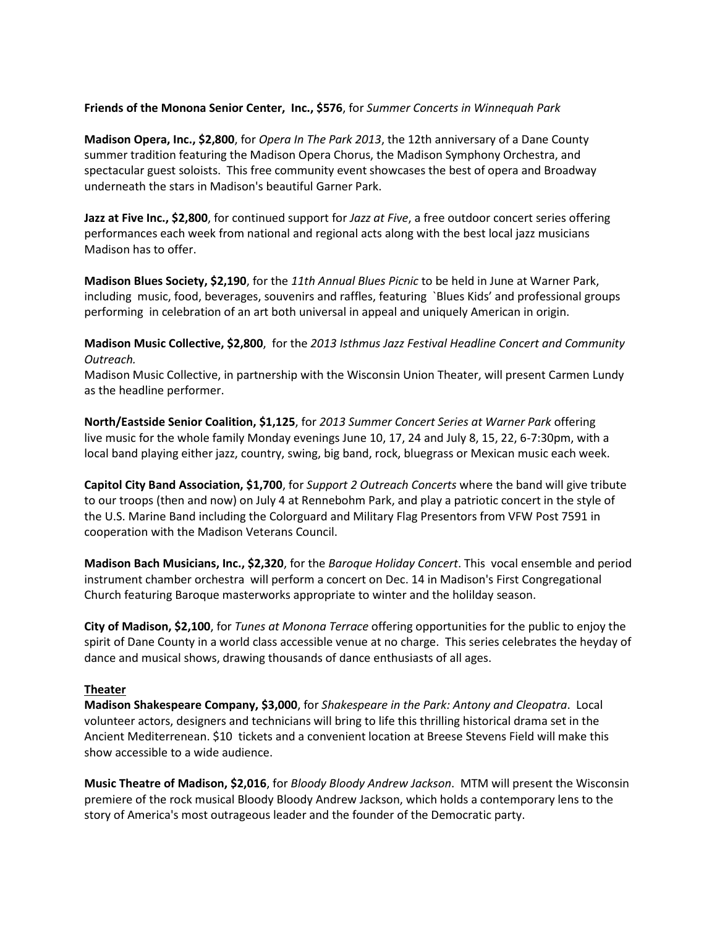## **Friends of the Monona Senior Center, Inc., \$576**, for *Summer Concerts in Winnequah Park*

**Madison Opera, Inc., \$2,800**, for *Opera In The Park 2013*, the 12th anniversary of a Dane County summer tradition featuring the Madison Opera Chorus, the Madison Symphony Orchestra, and spectacular guest soloists. This free community event showcases the best of opera and Broadway underneath the stars in Madison's beautiful Garner Park.

**Jazz at Five Inc., \$2,800**, for continued support for *Jazz at Five*, a free outdoor concert series offering performances each week from national and regional acts along with the best local jazz musicians Madison has to offer.

**Madison Blues Society, \$2,190**, for the *11th Annual Blues Picnic* to be held in June at Warner Park, including music, food, beverages, souvenirs and raffles, featuring `Blues Kids' and professional groups performing in celebration of an art both universal in appeal and uniquely American in origin.

**Madison Music Collective, \$2,800**, for the *2013 Isthmus Jazz Festival Headline Concert and Community Outreach.*

Madison Music Collective, in partnership with the Wisconsin Union Theater, will present Carmen Lundy as the headline performer.

**North/Eastside Senior Coalition, \$1,125**, for *2013 Summer Concert Series at Warner Park* offering live music for the whole family Monday evenings June 10, 17, 24 and July 8, 15, 22, 6-7:30pm, with a local band playing either jazz, country, swing, big band, rock, bluegrass or Mexican music each week.

**Capitol City Band Association, \$1,700**, for *Support 2 Outreach Concerts* where the band will give tribute to our troops (then and now) on July 4 at Rennebohm Park, and play a patriotic concert in the style of the U.S. Marine Band including the Colorguard and Military Flag Presentors from VFW Post 7591 in cooperation with the Madison Veterans Council.

**Madison Bach Musicians, Inc., \$2,320**, for the *Baroque Holiday Concert*. This vocal ensemble and period instrument chamber orchestra will perform a concert on Dec. 14 in Madison's First Congregational Church featuring Baroque masterworks appropriate to winter and the holilday season.

**City of Madison, \$2,100**, for *Tunes at Monona Terrace* offering opportunities for the public to enjoy the spirit of Dane County in a world class accessible venue at no charge. This series celebrates the heyday of dance and musical shows, drawing thousands of dance enthusiasts of all ages.

#### **Theater**

**Madison Shakespeare Company, \$3,000**, for *Shakespeare in the Park: Antony and Cleopatra*. Local volunteer actors, designers and technicians will bring to life this thrilling historical drama set in the Ancient Mediterrenean. \$10 tickets and a convenient location at Breese Stevens Field will make this show accessible to a wide audience.

**Music Theatre of Madison, \$2,016**, for *Bloody Bloody Andrew Jackson*. MTM will present the Wisconsin premiere of the rock musical Bloody Bloody Andrew Jackson, which holds a contemporary lens to the story of America's most outrageous leader and the founder of the Democratic party.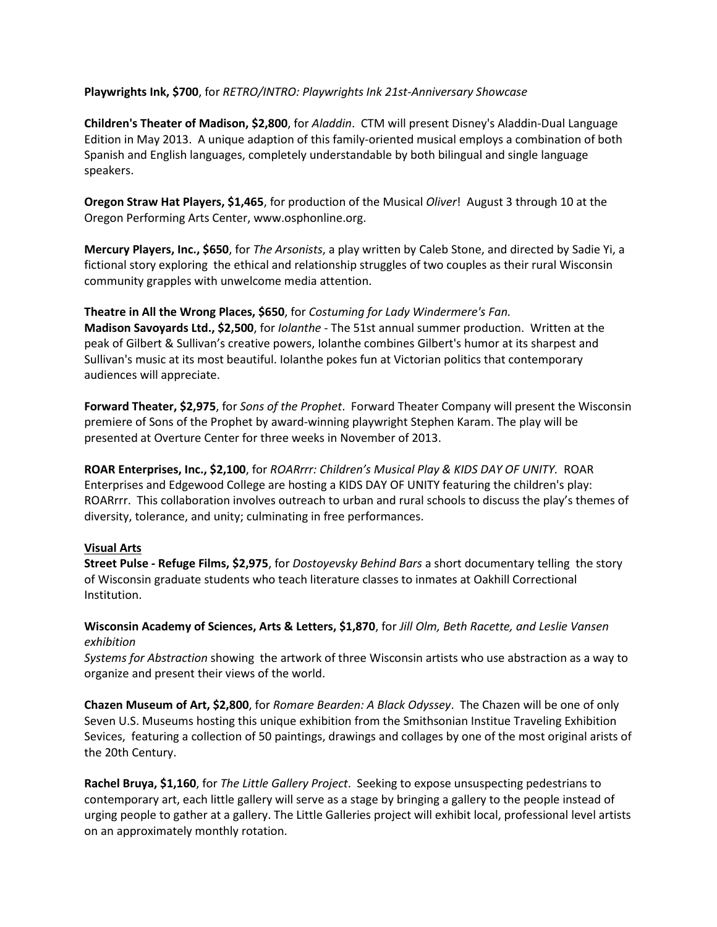## **Playwrights Ink, \$700**, for *RETRO/INTRO: Playwrights Ink 21st-Anniversary Showcase*

**Children's Theater of Madison, \$2,800**, for *Aladdin*. CTM will present Disney's Aladdin-Dual Language Edition in May 2013. A unique adaption of this family-oriented musical employs a combination of both Spanish and English languages, completely understandable by both bilingual and single language speakers.

**Oregon Straw Hat Players, \$1,465**, for production of the Musical *Oliver*! August 3 through 10 at the Oregon Performing Arts Center, www.osphonline.org.

**Mercury Players, Inc., \$650**, for *The Arsonists*, a play written by Caleb Stone, and directed by Sadie Yi, a fictional story exploring the ethical and relationship struggles of two couples as their rural Wisconsin community grapples with unwelcome media attention.

**Theatre in All the Wrong Places, \$650**, for *Costuming for Lady Windermere's Fan.* **Madison Savoyards Ltd., \$2,500**, for *Iolanthe* - The 51st annual summer production. Written at the peak of Gilbert & Sullivan's creative powers, Iolanthe combines Gilbert's humor at its sharpest and Sullivan's music at its most beautiful. Iolanthe pokes fun at Victorian politics that contemporary audiences will appreciate.

**Forward Theater, \$2,975**, for *Sons of the Prophet*. Forward Theater Company will present the Wisconsin premiere of Sons of the Prophet by award-winning playwright Stephen Karam. The play will be presented at Overture Center for three weeks in November of 2013.

**ROAR Enterprises, Inc., \$2,100**, for *ROARrrr: Children's Musical Play & KIDS DAY OF UNITY.* ROAR Enterprises and Edgewood College are hosting a KIDS DAY OF UNITY featuring the children's play: ROARrrr. This collaboration involves outreach to urban and rural schools to discuss the play's themes of diversity, tolerance, and unity; culminating in free performances.

## **Visual Arts**

**Street Pulse - Refuge Films, \$2,975**, for *Dostoyevsky Behind Bars* a short documentary telling the story of Wisconsin graduate students who teach literature classes to inmates at Oakhill Correctional Institution.

**Wisconsin Academy of Sciences, Arts & Letters, \$1,870**, for *Jill Olm, Beth Racette, and Leslie Vansen exhibition*

*Systems for Abstraction* showing the artwork of three Wisconsin artists who use abstraction as a way to organize and present their views of the world.

**Chazen Museum of Art, \$2,800**, for *Romare Bearden: A Black Odyssey*. The Chazen will be one of only Seven U.S. Museums hosting this unique exhibition from the Smithsonian Institue Traveling Exhibition Sevices, featuring a collection of 50 paintings, drawings and collages by one of the most original arists of the 20th Century.

**Rachel Bruya, \$1,160**, for *The Little Gallery Project*. Seeking to expose unsuspecting pedestrians to contemporary art, each little gallery will serve as a stage by bringing a gallery to the people instead of urging people to gather at a gallery. The Little Galleries project will exhibit local, professional level artists on an approximately monthly rotation.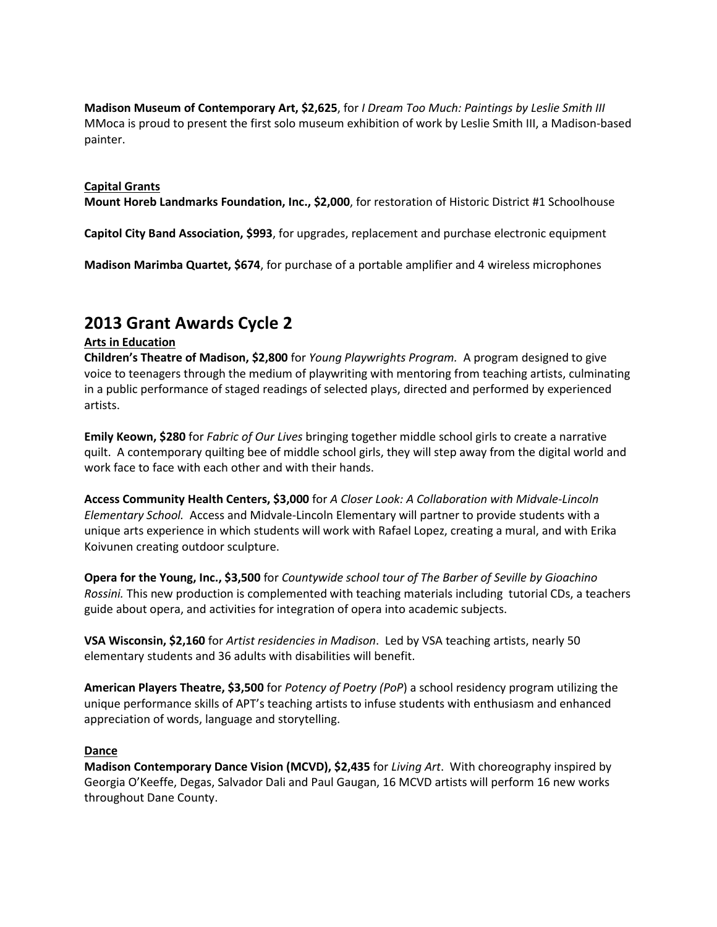**Madison Museum of Contemporary Art, \$2,625**, for *I Dream Too Much: Paintings by Leslie Smith III* MMoca is proud to present the first solo museum exhibition of work by Leslie Smith III, a Madison-based painter.

#### **Capital Grants**

**Mount Horeb Landmarks Foundation, Inc., \$2,000**, for restoration of Historic District #1 Schoolhouse

**Capitol City Band Association, \$993**, for upgrades, replacement and purchase electronic equipment

**Madison Marimba Quartet, \$674**, for purchase of a portable amplifier and 4 wireless microphones

## **2013 Grant Awards Cycle 2**

## **Arts in Education**

**Children's Theatre of Madison, \$2,800** for *Young Playwrights Program.* A program designed to give voice to teenagers through the medium of playwriting with mentoring from teaching artists, culminating in a public performance of staged readings of selected plays, directed and performed by experienced artists.

**Emily Keown, \$280** for *Fabric of Our Lives* bringing together middle school girls to create a narrative quilt. A contemporary quilting bee of middle school girls, they will step away from the digital world and work face to face with each other and with their hands.

**Access Community Health Centers, \$3,000** for *A Closer Look: A Collaboration with Midvale-Lincoln Elementary School.* Access and Midvale-Lincoln Elementary will partner to provide students with a unique arts experience in which students will work with Rafael Lopez, creating a mural, and with Erika Koivunen creating outdoor sculpture.

**Opera for the Young, Inc., \$3,500** for *Countywide school tour of The Barber of Seville by Gioachino Rossini.* This new production is complemented with teaching materials including tutorial CDs, a teachers guide about opera, and activities for integration of opera into academic subjects.

**VSA Wisconsin, \$2,160** for *Artist residencies in Madison*. Led by VSA teaching artists, nearly 50 elementary students and 36 adults with disabilities will benefit.

**American Players Theatre, \$3,500** for *Potency of Poetry (PoP*) a school residency program utilizing the unique performance skills of APT's teaching artists to infuse students with enthusiasm and enhanced appreciation of words, language and storytelling.

## **Dance**

**Madison Contemporary Dance Vision (MCVD), \$2,435** for *Living Art*. With choreography inspired by Georgia O'Keeffe, Degas, Salvador Dali and Paul Gaugan, 16 MCVD artists will perform 16 new works throughout Dane County.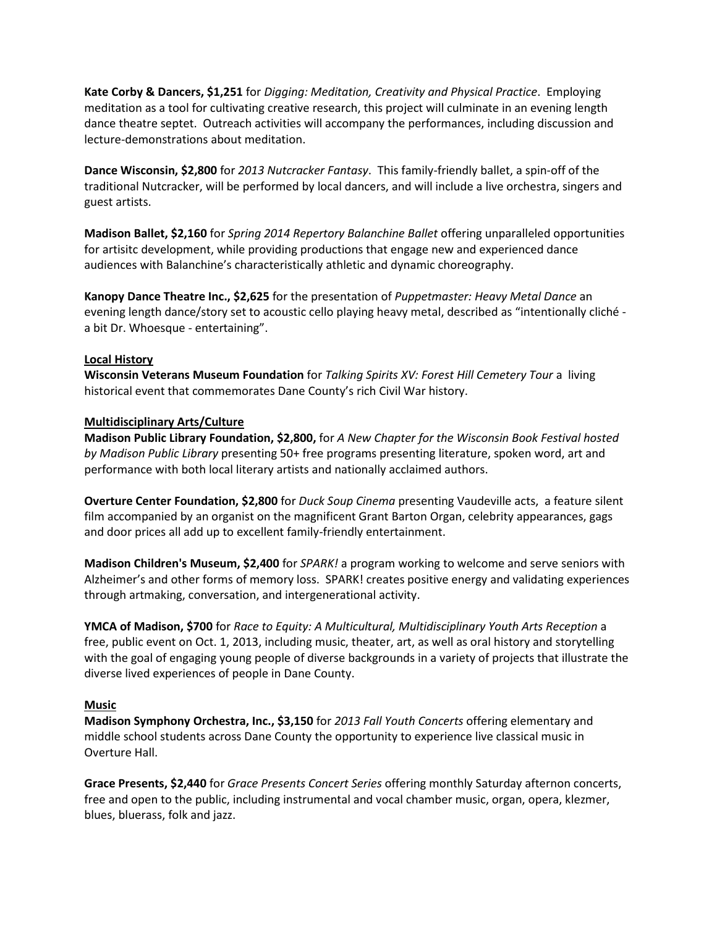**Kate Corby & Dancers, \$1,251** for *Digging: Meditation, Creativity and Physical Practice*. Employing meditation as a tool for cultivating creative research, this project will culminate in an evening length dance theatre septet. Outreach activities will accompany the performances, including discussion and lecture-demonstrations about meditation.

**Dance Wisconsin, \$2,800** for *2013 Nutcracker Fantasy*. This family-friendly ballet, a spin-off of the traditional Nutcracker, will be performed by local dancers, and will include a live orchestra, singers and guest artists.

**Madison Ballet, \$2,160** for *Spring 2014 Repertory Balanchine Ballet* offering unparalleled opportunities for artisitc development, while providing productions that engage new and experienced dance audiences with Balanchine's characteristically athletic and dynamic choreography.

**Kanopy Dance Theatre Inc., \$2,625** for the presentation of *Puppetmaster: Heavy Metal Dance* an evening length dance/story set to acoustic cello playing heavy metal, described as "intentionally cliché a bit Dr. Whoesque - entertaining".

## **Local History**

**Wisconsin Veterans Museum Foundation** for *Talking Spirits XV: Forest Hill Cemetery Tour* a living historical event that commemorates Dane County's rich Civil War history.

## **Multidisciplinary Arts/Culture**

**Madison Public Library Foundation, \$2,800,** for *A New Chapter for the Wisconsin Book Festival hosted by Madison Public Library* presenting 50+ free programs presenting literature, spoken word, art and performance with both local literary artists and nationally acclaimed authors.

**Overture Center Foundation, \$2,800** for *Duck Soup Cinema* presenting Vaudeville acts, a feature silent film accompanied by an organist on the magnificent Grant Barton Organ, celebrity appearances, gags and door prices all add up to excellent family-friendly entertainment.

**Madison Children's Museum, \$2,400** for *SPARK!* a program working to welcome and serve seniors with Alzheimer's and other forms of memory loss. SPARK! creates positive energy and validating experiences through artmaking, conversation, and intergenerational activity.

**YMCA of Madison, \$700** for *Race to Equity: A Multicultural, Multidisciplinary Youth Arts Reception* a free, public event on Oct. 1, 2013, including music, theater, art, as well as oral history and storytelling with the goal of engaging young people of diverse backgrounds in a variety of projects that illustrate the diverse lived experiences of people in Dane County.

## **Music**

**Madison Symphony Orchestra, Inc., \$3,150** for *2013 Fall Youth Concerts* offering elementary and middle school students across Dane County the opportunity to experience live classical music in Overture Hall.

**Grace Presents, \$2,440** for *Grace Presents Concert Series* offering monthly Saturday afternon concerts, free and open to the public, including instrumental and vocal chamber music, organ, opera, klezmer, blues, bluerass, folk and jazz.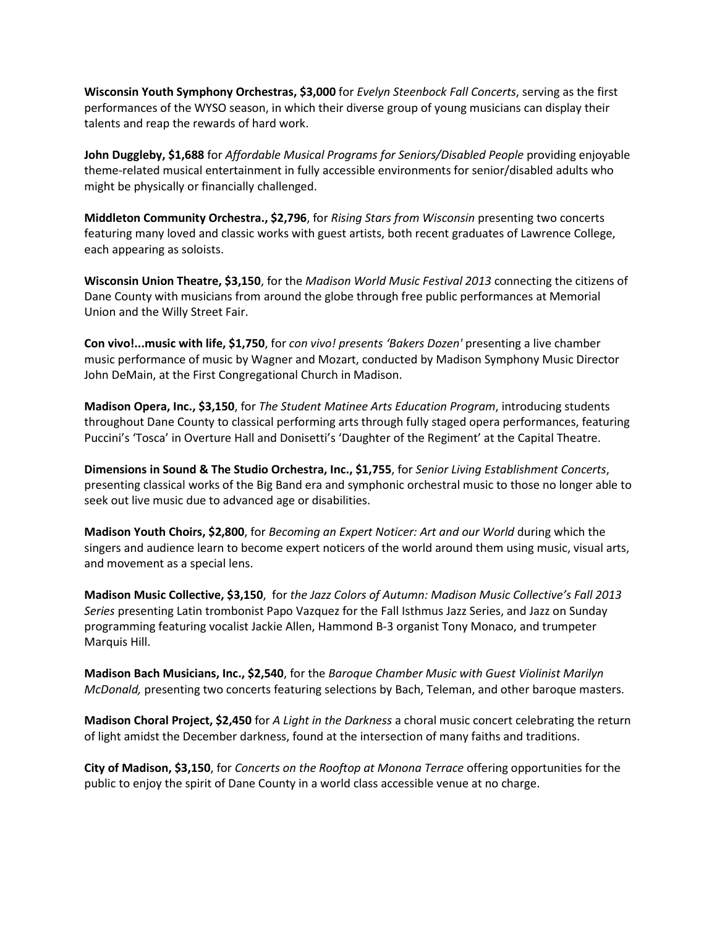**Wisconsin Youth Symphony Orchestras, \$3,000** for *Evelyn Steenbock Fall Concerts*, serving as the first performances of the WYSO season, in which their diverse group of young musicians can display their talents and reap the rewards of hard work.

**John Duggleby, \$1,688** for *Affordable Musical Programs for Seniors/Disabled People* providing enjoyable theme-related musical entertainment in fully accessible environments for senior/disabled adults who might be physically or financially challenged.

**Middleton Community Orchestra., \$2,796**, for *Rising Stars from Wisconsin* presenting two concerts featuring many loved and classic works with guest artists, both recent graduates of Lawrence College, each appearing as soloists.

**Wisconsin Union Theatre, \$3,150**, for the *Madison World Music Festival 2013* connecting the citizens of Dane County with musicians from around the globe through free public performances at Memorial Union and the Willy Street Fair.

**Con vivo!...music with life, \$1,750**, for *con vivo! presents 'Bakers Dozen'* presenting a live chamber music performance of music by Wagner and Mozart, conducted by Madison Symphony Music Director John DeMain, at the First Congregational Church in Madison.

**Madison Opera, Inc., \$3,150**, for *The Student Matinee Arts Education Program*, introducing students throughout Dane County to classical performing arts through fully staged opera performances, featuring Puccini's 'Tosca' in Overture Hall and Donisetti's 'Daughter of the Regiment' at the Capital Theatre.

**Dimensions in Sound & The Studio Orchestra, Inc., \$1,755**, for *Senior Living Establishment Concerts*, presenting classical works of the Big Band era and symphonic orchestral music to those no longer able to seek out live music due to advanced age or disabilities.

**Madison Youth Choirs, \$2,800**, for *Becoming an Expert Noticer: Art and our World* during which the singers and audience learn to become expert noticers of the world around them using music, visual arts, and movement as a special lens.

**Madison Music Collective, \$3,150**, for *the Jazz Colors of Autumn: Madison Music Collective's Fall 2013 Series* presenting Latin trombonist Papo Vazquez for the Fall Isthmus Jazz Series, and Jazz on Sunday programming featuring vocalist Jackie Allen, Hammond B-3 organist Tony Monaco, and trumpeter Marquis Hill.

**Madison Bach Musicians, Inc., \$2,540**, for the *Baroque Chamber Music with Guest Violinist Marilyn McDonald,* presenting two concerts featuring selections by Bach, Teleman, and other baroque masters.

**Madison Choral Project, \$2,450** for *A Light in the Darkness* a choral music concert celebrating the return of light amidst the December darkness, found at the intersection of many faiths and traditions.

**City of Madison, \$3,150**, for *Concerts on the Rooftop at Monona Terrace* offering opportunities for the public to enjoy the spirit of Dane County in a world class accessible venue at no charge.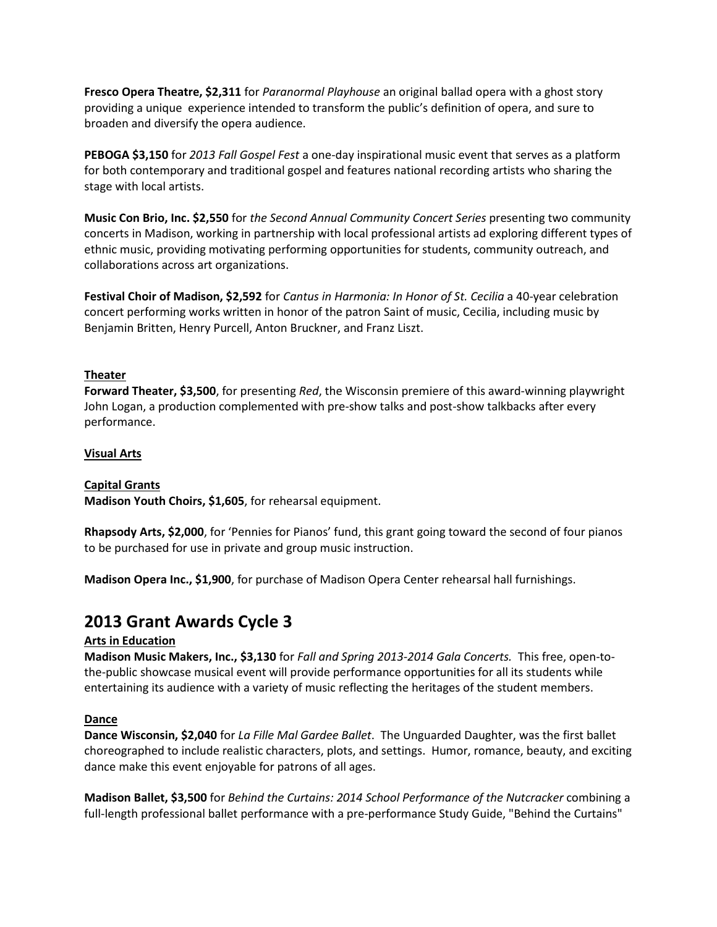**Fresco Opera Theatre, \$2,311** for *Paranormal Playhouse* an original ballad opera with a ghost story providing a unique experience intended to transform the public's definition of opera, and sure to broaden and diversify the opera audience.

**PEBOGA \$3,150** for *2013 Fall Gospel Fest* a one-day inspirational music event that serves as a platform for both contemporary and traditional gospel and features national recording artists who sharing the stage with local artists.

**Music Con Brio, Inc. \$2,550** for *the Second Annual Community Concert Series* presenting two community concerts in Madison, working in partnership with local professional artists ad exploring different types of ethnic music, providing motivating performing opportunities for students, community outreach, and collaborations across art organizations.

**Festival Choir of Madison, \$2,592** for *Cantus in Harmonia: In Honor of St. Cecilia* a 40-year celebration concert performing works written in honor of the patron Saint of music, Cecilia, including music by Benjamin Britten, Henry Purcell, Anton Bruckner, and Franz Liszt.

## **Theater**

**Forward Theater, \$3,500**, for presenting *Red*, the Wisconsin premiere of this award-winning playwright John Logan, a production complemented with pre-show talks and post-show talkbacks after every performance.

## **Visual Arts**

## **Capital Grants**

**Madison Youth Choirs, \$1,605**, for rehearsal equipment.

**Rhapsody Arts, \$2,000**, for 'Pennies for Pianos' fund, this grant going toward the second of four pianos to be purchased for use in private and group music instruction.

**Madison Opera Inc., \$1,900**, for purchase of Madison Opera Center rehearsal hall furnishings.

# **2013 Grant Awards Cycle 3**

## **Arts in Education**

**Madison Music Makers, Inc., \$3,130** for *Fall and Spring 2013-2014 Gala Concerts.* This free, open-tothe-public showcase musical event will provide performance opportunities for all its students while entertaining its audience with a variety of music reflecting the heritages of the student members.

## **Dance**

**Dance Wisconsin, \$2,040** for *La Fille Mal Gardee Ballet*. The Unguarded Daughter, was the first ballet choreographed to include realistic characters, plots, and settings. Humor, romance, beauty, and exciting dance make this event enjoyable for patrons of all ages.

**Madison Ballet, \$3,500** for *Behind the Curtains: 2014 School Performance of the Nutcracker* combining a full-length professional ballet performance with a pre-performance Study Guide, "Behind the Curtains"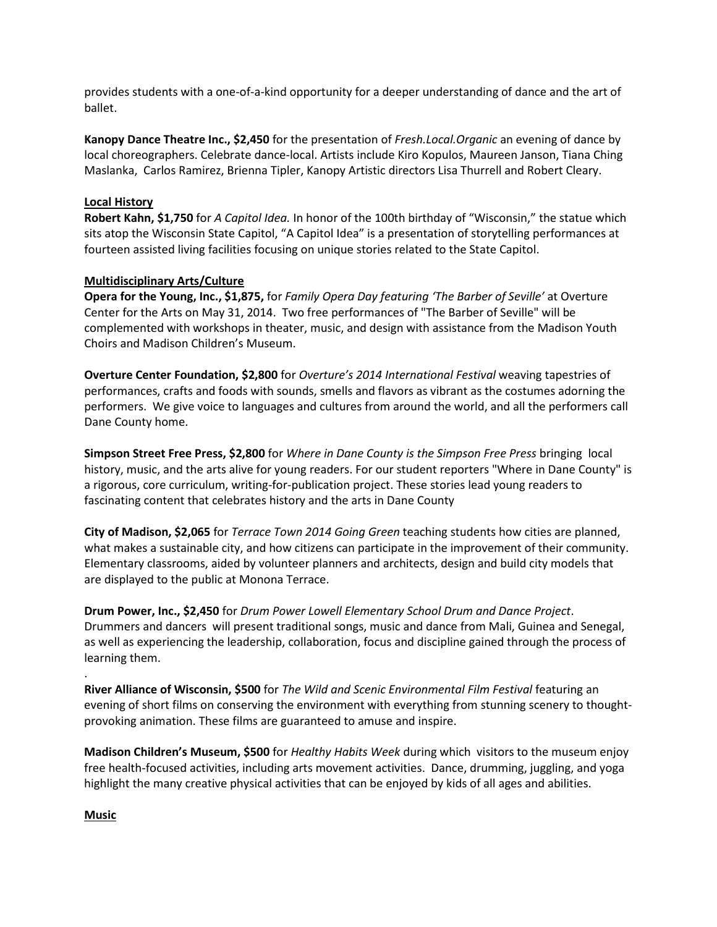provides students with a one-of-a-kind opportunity for a deeper understanding of dance and the art of ballet.

**Kanopy Dance Theatre Inc., \$2,450** for the presentation of *Fresh.Local.Organic* an evening of dance by local choreographers. Celebrate dance-local. Artists include Kiro Kopulos, Maureen Janson, Tiana Ching Maslanka, Carlos Ramirez, Brienna Tipler, Kanopy Artistic directors Lisa Thurrell and Robert Cleary.

#### **Local History**

**Robert Kahn, \$1,750** for *A Capitol Idea.* In honor of the 100th birthday of "Wisconsin," the statue which sits atop the Wisconsin State Capitol, "A Capitol Idea" is a presentation of storytelling performances at fourteen assisted living facilities focusing on unique stories related to the State Capitol.

#### **Multidisciplinary Arts/Culture**

**Opera for the Young, Inc., \$1,875,** for *Family Opera Day featuring 'The Barber of Seville'* at Overture Center for the Arts on May 31, 2014. Two free performances of "The Barber of Seville" will be complemented with workshops in theater, music, and design with assistance from the Madison Youth Choirs and Madison Children's Museum.

**Overture Center Foundation, \$2,800** for *Overture's 2014 International Festival* weaving tapestries of performances, crafts and foods with sounds, smells and flavors as vibrant as the costumes adorning the performers. We give voice to languages and cultures from around the world, and all the performers call Dane County home.

**Simpson Street Free Press, \$2,800** for *Where in Dane County is the Simpson Free Press* bringing local history, music, and the arts alive for young readers. For our student reporters "Where in Dane County" is a rigorous, core curriculum, writing-for-publication project. These stories lead young readers to fascinating content that celebrates history and the arts in Dane County

**City of Madison, \$2,065** for *Terrace Town 2014 Going Green* teaching students how cities are planned, what makes a sustainable city, and how citizens can participate in the improvement of their community. Elementary classrooms, aided by volunteer planners and architects, design and build city models that are displayed to the public at Monona Terrace.

**Drum Power, Inc., \$2,450** for *Drum Power Lowell Elementary School Drum and Dance Project*. Drummers and dancers will present traditional songs, music and dance from Mali, Guinea and Senegal, as well as experiencing the leadership, collaboration, focus and discipline gained through the process of learning them.

**River Alliance of Wisconsin, \$500** for *The Wild and Scenic Environmental Film Festival* featuring an evening of short films on conserving the environment with everything from stunning scenery to thoughtprovoking animation. These films are guaranteed to amuse and inspire.

**Madison Children's Museum, \$500** for *Healthy Habits Week* during which visitors to the museum enjoy free health-focused activities, including arts movement activities. Dance, drumming, juggling, and yoga highlight the many creative physical activities that can be enjoyed by kids of all ages and abilities.

#### **Music**

.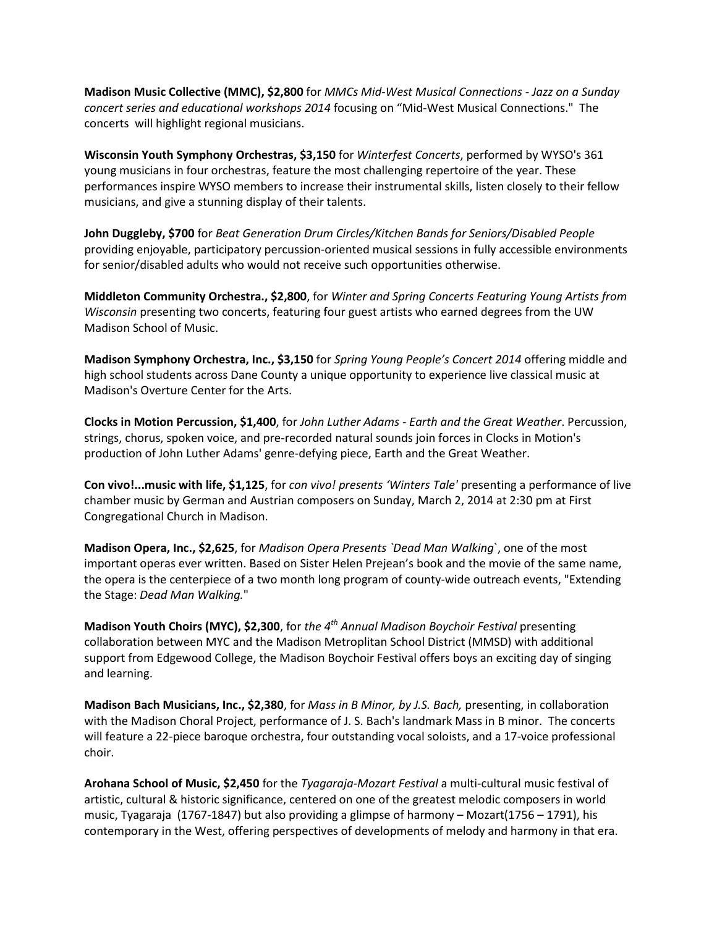**Madison Music Collective (MMC), \$2,800** for *MMCs Mid-West Musical Connections - Jazz on a Sunday concert series and educational workshops 2014* focusing on "Mid-West Musical Connections." The concerts will highlight regional musicians.

**Wisconsin Youth Symphony Orchestras, \$3,150** for *Winterfest Concerts*, performed by WYSO's 361 young musicians in four orchestras, feature the most challenging repertoire of the year. These performances inspire WYSO members to increase their instrumental skills, listen closely to their fellow musicians, and give a stunning display of their talents.

**John Duggleby, \$700** for *Beat Generation Drum Circles/Kitchen Bands for Seniors/Disabled People* providing enjoyable, participatory percussion-oriented musical sessions in fully accessible environments for senior/disabled adults who would not receive such opportunities otherwise.

**Middleton Community Orchestra., \$2,800**, for *Winter and Spring Concerts Featuring Young Artists from Wisconsin* presenting two concerts, featuring four guest artists who earned degrees from the UW Madison School of Music.

**Madison Symphony Orchestra, Inc., \$3,150** for *Spring Young People's Concert 2014* offering middle and high school students across Dane County a unique opportunity to experience live classical music at Madison's Overture Center for the Arts.

**Clocks in Motion Percussion, \$1,400**, for *John Luther Adams - Earth and the Great Weather*. Percussion, strings, chorus, spoken voice, and pre-recorded natural sounds join forces in Clocks in Motion's production of John Luther Adams' genre-defying piece, Earth and the Great Weather.

**Con vivo!...music with life, \$1,125**, for *con vivo! presents 'Winters Tale'* presenting a performance of live chamber music by German and Austrian composers on Sunday, March 2, 2014 at 2:30 pm at First Congregational Church in Madison.

**Madison Opera, Inc., \$2,625**, for *Madison Opera Presents `Dead Man Walking*`, one of the most important operas ever written. Based on Sister Helen Prejean's book and the movie of the same name, the opera is the centerpiece of a two month long program of county-wide outreach events, "Extending the Stage: *Dead Man Walking.*"

**Madison Youth Choirs (MYC), \$2,300**, for *the 4th Annual Madison Boychoir Festival* presenting collaboration between MYC and the Madison Metroplitan School District (MMSD) with additional support from Edgewood College, the Madison Boychoir Festival offers boys an exciting day of singing and learning.

**Madison Bach Musicians, Inc., \$2,380**, for *Mass in B Minor, by J.S. Bach,* presenting, in collaboration with the Madison Choral Project, performance of J. S. Bach's landmark Mass in B minor. The concerts will feature a 22-piece baroque orchestra, four outstanding vocal soloists, and a 17-voice professional choir.

**Arohana School of Music, \$2,450** for the *Tyagaraja-Mozart Festival* a multi-cultural music festival of artistic, cultural & historic significance, centered on one of the greatest melodic composers in world music, Tyagaraja (1767-1847) but also providing a glimpse of harmony – Mozart(1756 – 1791), his contemporary in the West, offering perspectives of developments of melody and harmony in that era.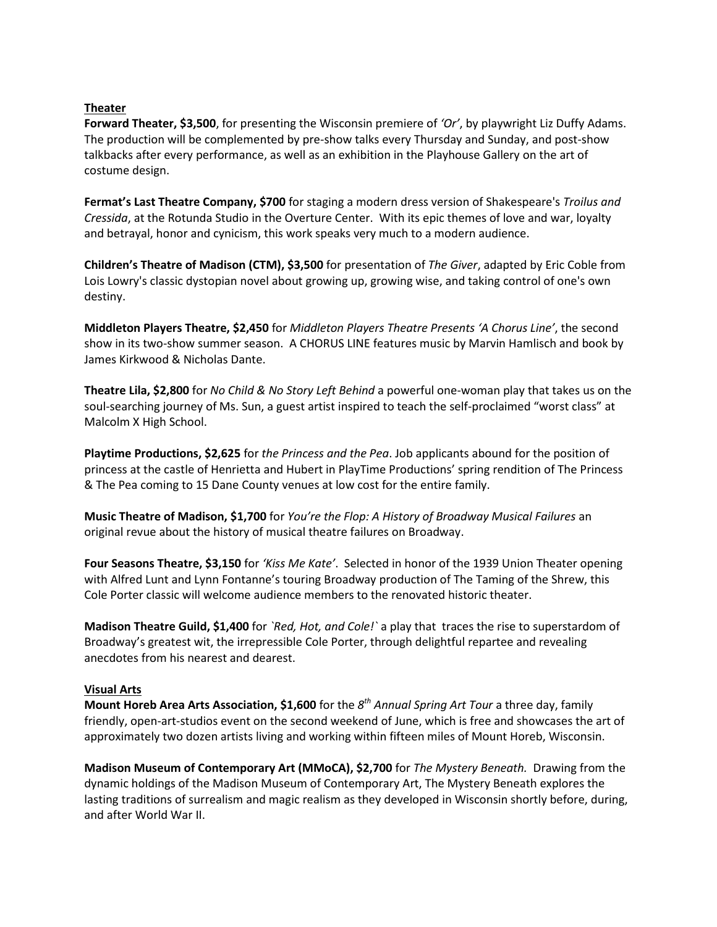#### **Theater**

**Forward Theater, \$3,500**, for presenting the Wisconsin premiere of *'Or'*, by playwright Liz Duffy Adams. The production will be complemented by pre-show talks every Thursday and Sunday, and post-show talkbacks after every performance, as well as an exhibition in the Playhouse Gallery on the art of costume design.

**Fermat's Last Theatre Company, \$700** for staging a modern dress version of Shakespeare's *Troilus and Cressida*, at the Rotunda Studio in the Overture Center. With its epic themes of love and war, loyalty and betrayal, honor and cynicism, this work speaks very much to a modern audience.

**Children's Theatre of Madison (CTM), \$3,500** for presentation of *The Giver*, adapted by Eric Coble from Lois Lowry's classic dystopian novel about growing up, growing wise, and taking control of one's own destiny.

**Middleton Players Theatre, \$2,450** for *Middleton Players Theatre Presents 'A Chorus Line'*, the second show in its two-show summer season. A CHORUS LINE features music by Marvin Hamlisch and book by James Kirkwood & Nicholas Dante.

**Theatre Lila, \$2,800** for *No Child & No Story Left Behind* a powerful one-woman play that takes us on the soul-searching journey of Ms. Sun, a guest artist inspired to teach the self-proclaimed "worst class" at Malcolm X High School.

**Playtime Productions, \$2,625** for *the Princess and the Pea*. Job applicants abound for the position of princess at the castle of Henrietta and Hubert in PlayTime Productions' spring rendition of The Princess & The Pea coming to 15 Dane County venues at low cost for the entire family.

**Music Theatre of Madison, \$1,700** for *You're the Flop: A History of Broadway Musical Failures* an original revue about the history of musical theatre failures on Broadway.

**Four Seasons Theatre, \$3,150** for *'Kiss Me Kate'*. Selected in honor of the 1939 Union Theater opening with Alfred Lunt and Lynn Fontanne's touring Broadway production of The Taming of the Shrew, this Cole Porter classic will welcome audience members to the renovated historic theater.

**Madison Theatre Guild, \$1,400** for *`Red, Hot, and Cole!`* a play that traces the rise to superstardom of Broadway's greatest wit, the irrepressible Cole Porter, through delightful repartee and revealing anecdotes from his nearest and dearest.

#### **Visual Arts**

**Mount Horeb Area Arts Association, \$1,600** for the *8th Annual Spring Art Tour* a three day, family friendly, open-art-studios event on the second weekend of June, which is free and showcases the art of approximately two dozen artists living and working within fifteen miles of Mount Horeb, Wisconsin.

**Madison Museum of Contemporary Art (MMoCA), \$2,700** for *The Mystery Beneath.* Drawing from the dynamic holdings of the Madison Museum of Contemporary Art, The Mystery Beneath explores the lasting traditions of surrealism and magic realism as they developed in Wisconsin shortly before, during, and after World War II.